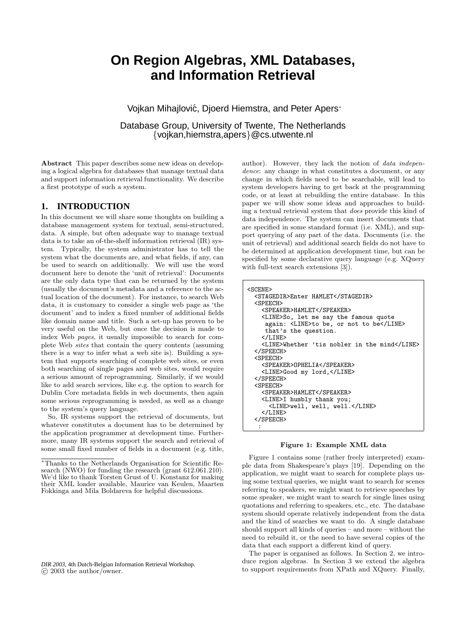# **On Region Algebras, XML Databases, and Information Retrieval**

Vojkan Mihajlović, Djoerd Hiemstra, and Peter Apers<sup>\*</sup>

Database Group, University of Twente, The Netherlands {vojkan,hiemstra,apers}@cs.utwente.nl

Abstract This paper describes some new ideas on developing a logical algebra for databases that manage textual data and support information retrieval functionality. We describe a first prototype of such a system.

# **1. INTRODUCTION**

In this document we will share some thoughts on building a database management system for textual, semi-structured, data. A simple, but often adequate way to manage textual data is to take an of-the-shelf information retrieval (IR) system. Typically, the system administrator has to tell the system what the documents are, and what fields, if any, can be used to search on additionally. We will use the word document here to denote the 'unit of retrieval': Documents are the only data type that can be returned by the system (usually the document's metadata and a reference to the actual location of the document). For instance, to search Web data, it is customary to consider a single web page as 'the document' and to index a fixed number of additional fields like domain name and title. Such a set-up has proven to be very useful on the Web, but once the decision is made to index Web pages, it usually impossible to search for complete Web sites that contain the query contents (assuming there is a way to infer what a web site is). Building a system that supports searching of complete web sites, or even both searching of single pages and web sites, would require a serious amount of reprogramming. Similarly, if we would like to add search services, like e.g. the option to search for Dublin Core metadata fields in web documents, then again some serious reprogramming is needed, as well as a change to the system's query language.

So, IR systems support the retrieval of documents, but whatever constitutes a document has to be determined by the application programmer at development time. Furthermore, many IR systems support the search and retrieval of some small fixed number of fields in a document (e.g. title,

*DIR 2003,* 4th Dutch-Belgian Information Retrieval Workshop.  $\circ$  2003 the author/owner.

author). However, they lack the notion of data independence: any change in what constitutes a document, or any change in which fields need to be searchable, will lead to system developers having to get back at the programming code, or at least at rebuilding the entire database. In this paper we will show some ideas and approaches to building a textual retrieval system that does provide this kind of data independence. The system can insert documents that are specified in some standard format (i.e. XML), and support querying of any part of the data. Documents (i.e. the unit of retrieval) and additional search fields do not have to be determined at application development time, but can be specified by some declarative query language (e.g. XQuery with full-text search extensions [3]).

| <scene></scene>                              |
|----------------------------------------------|
| <stagedir>Enter HAMLET</stagedir>            |
| <speech></speech>                            |
| <speaker>HAMLET</speaker>                    |
| <line>So, let me say the famous quote</line> |
| again: <line>to be, or not to be</line>      |
| that's the question.                         |
| $\langle$ /LINE>                             |
| <line>Whether 'tis nobler in the mind</line> |
|                                              |
| <speech></speech>                            |
| <speaker>OPHELIA</speaker>                   |
| <line>Good my lord,</line>                   |
|                                              |
| <speech></speech>                            |
| <speaker>HAMLET</speaker>                    |
| <line>I humbly thank you;</line>             |
| <line>well, well, well.</line>               |
| $\langle$ /LINE>                             |
|                                              |
|                                              |
|                                              |

#### Figure 1: Example XML data

Figure 1 contains some (rather freely interpreted) example data from Shakespeare's plays [19]. Depending on the application, we might want to search for complete plays using some textual queries, we might want to search for scenes referring to speakers, we might want to retrieve speeches by some speaker, we might want to search for single lines using quotations and referring to speakers, etc., etc. The database system should operate relatively independent from the data and the kind of searches we want to do. A single database should support all kinds of queries – and more – without the need to rebuild it, or the need to have several copies of the data that each support a different kind of query.

The paper is organised as follows. In Section 2, we introduce region algebras. In Section 3 we extend the algebra to support requirements from XPath and XQuery. Finally,

<sup>∗</sup>Thanks to the Netherlands Organisation for Scientific Research (NWO) for funding the research (grant 612.061.210). We'd like to thank Torsten Grust of U. Konstanz for making their XML loader available, Maurice van Keulen, Maarten Fokkinga and Mila Boldareva for helpful discussions.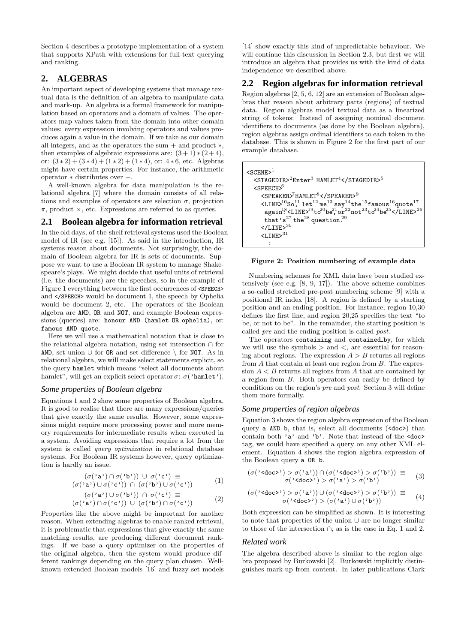Section 4 describes a prototype implementation of a system that supports XPath with extensions for full-text querying and ranking.

# **2. ALGEBRAS**

An important aspect of developing systems that manage textual data is the definition of an algebra to manipulate data and mark-up. An algebra is a formal framework for manipulation based on operators and a domain of values. The operators map values taken from the domain into other domain values: every expression involving operators and values produces again a value in the domain. If we take as our domain all integers, and as the operators the sum + and product ∗, then examples of algebraic expressions are:  $(3+1)*(2+4)$ , or:  $(3 \times 2) + (3 \times 4) + (1 \times 2) + (1 \times 4)$ , or: 4  $*$  6, etc. Algebras might have certain properties. For instance, the arithmetic operator ∗ distributes over +.

A well-known algebra for data manipulation is the relational algebra [7] where the domain consists of all relations and examples of operators are selection  $\sigma$ , projection  $\pi$ , product  $\times$ , etc. Expressions are referred to as queries.

# **2.1 Boolean algebra for information retrieval**

In the old days, of-the-shelf retrieval systems used the Boolean model of IR (see e.g. [15]). As said in the introduction, IR systems reason about documents. Not surprisingly, the domain of Boolean algebra for IR is sets of documents. Suppose we want to use a Boolean IR system to manage Shakespeare's plays. We might decide that useful units of retrieval (i.e. the documents) are the speeches, so in the example of Figure 1 everything between the first occurrences of <SPEECH> and </SPEECH> would be document 1, the speech by Ophelia would be document 2, etc. The operators of the Boolean algebra are AND, OR and NOT, and example Boolean expressions (queries) are: honour AND (hamlet OR ophelia), or: famous AND quote.

Here we will use a mathematical notation that is close to the relational algebra notation, using set intersection ∩ for AND, set union ∪ for OR and set difference \ for NOT. As in relational algebra, we will make select statements explicit, so the query hamlet which means "select all documents about hamlet", will get an explicit select operator  $\sigma$ :  $\sigma$ ('hamlet').

# *Some properties of Boolean algebra*

Equations 1 and 2 show some properties of Boolean algebra. It is good to realise that there are many expressions/queries that give exactly the same results. However, some expressions might require more processing power and more memory requirements for intermediate results when executed in a system. Avoiding expressions that require a lot from the system is called query optimization in relational database systems. For Boolean IR systems however, query optimization is hardly an issue.

$$
(\sigma(^{\prime}a^{\prime}) \cap \sigma(^{\prime}b^{\prime})) \cup \sigma(^{\prime}c^{\prime}) \equiv (\sigma(^{\prime}a^{\prime}) \cup \sigma(^{\prime}c^{\prime})) \cap (\sigma(^{\prime}b^{\prime}) \cup \sigma(^{\prime}c^{\prime}))
$$
(1)

$$
(\sigma(^{\prime}a^{\prime}) \cup \sigma(^{\prime}b^{\prime})) \cap \sigma(^{\prime}c^{\prime}) \equiv (\sigma(^{\prime}a^{\prime}) \cap \sigma(^{\prime}c^{\prime})) \cup (\sigma(^{\prime}b^{\prime}) \cap \sigma(^{\prime}c^{\prime}))
$$
 (2)

Properties like the above might be important for another reason. When extending algebras to enable ranked retrieval, it is problematic that expressions that give exactly the same matching results, are producing different document rankings. If we base a query optimizer on the properties of the original algebra, then the system would produce different rankings depending on the query plan chosen. Wellknown extended Boolean models [16] and fuzzy set models

[14] show exactly this kind of unpredictable behaviour. We will continue this discussion in Section 2.3, but first we will introduce an algebra that provides us with the kind of data independence we described above.

# **2.2 Region algebras for information retrieval**

Region algebras [2, 5, 6, 12] are an extension of Boolean algebras that reason about arbitrary parts (regions) of textual data. Region algebras model textual data as a linearized string of tokens: Instead of assigning nominal document identifiers to documents (as done by the Boolean algebra), region algebras assign ordinal identifiers to each token in the database. This is shown in Figure 2 for the first part of our example database.

| $<$ SCENE> $1$                                                                                                                                                                             |
|--------------------------------------------------------------------------------------------------------------------------------------------------------------------------------------------|
| $\sim$ STAGEDIR> $^2$ Enter <sup>3</sup> HAMLET <sup>4</sup> <sup>5</sup>                                                                                                                  |
| $\langle$ SPEECH $>0$                                                                                                                                                                      |
| $\langle$ SPEAKER> <sup>7</sup> HAMLET <sup>8</sup> <sup>9</sup>                                                                                                                           |
| $\langle$ LINE> $^{10}$ So, llet <sup>12</sup> me <sup>13</sup> say <sup>14</sup> the <sup>15</sup> famous <sup>16</sup> quote <sup>17</sup>                                               |
| $\texttt{again}^{18}\texttt{-LINE}\texttt{>}^{19}\texttt{to}^{20}\texttt{be}^{21}\texttt{or}^{22}\texttt{not}^{23}\texttt{to}^{24}\texttt{be}^{25}\texttt{<}\texttt{/LINE}\texttt{>}^{26}$ |
| that's <sup>27</sup> the <sup>28</sup> question. <sup>29</sup>                                                                                                                             |
| $<$ /LINE> $30$                                                                                                                                                                            |
| $<$ T.TNE $>$ <sup>31</sup>                                                                                                                                                                |
|                                                                                                                                                                                            |

#### Figure 2: Position numbering of example data

Numbering schemes for XML data have been studied extensively (see e.g. [8, 9, 17]). The above scheme combines a so-called stretched pre-post numbering scheme [9] with a positional IR index [18]. A region is defined by a starting position and an ending position. For instance, region 10,30 defines the first line, and region 20,25 specifies the text "to be, or not to be". In the remainder, the starting position is called pre and the ending position is called post.

The operators containing and contained by, for which we will use the symbols  $>$  and  $<$ , are essential for reasoning about regions. The expression  $A > B$  returns all regions from  $A$  that contain at least one region from  $B$ . The expression  $A < B$  returns all regions from A that are contained by a region from B. Both operators can easily be defined by conditions on the region's pre and post. Section 3 will define them more formally.

#### *Some properties of region algebras*

Equation 3 shows the region algebra expression of the Boolean query a AND b, that is, select all documents (<doc>) that contain both 'a' and 'b'. Note that instead of the <doc> tag, we could have specified a query on any other XML element. Equation 4 shows the region algebra expression of the Boolean query a OR b.

$$
(\sigma(\text{''}) > \sigma(\text{'a'})) \cap (\sigma(\text{''}) > \sigma(\text{'b'}) \equiv \sigma(\text{'}) > \sigma(\text{'a'}) > \sigma(\text{'b'})
$$
 (3)

$$
(\sigma(^{\prime} <\text{doc>}) > \sigma(^{\prime} \mathtt{a'}) ) \cup (\sigma(^{\prime} <\text{doc>}) > \sigma(^{\prime} \mathtt{b'}) ) \equiv \sigma(^{\prime} <\text{doc>}) > (\sigma(^{\prime} \mathtt{a'}) \cup \sigma(^{\prime} \mathtt{b'}) )
$$
(4)

Both expression can be simplified as shown. It is interesting to note that properties of the union ∪ are no longer similar to those of the intersection ∩, as is the case in Eq. 1 and 2.

#### *Related work*

The algebra described above is similar to the region algebra proposed by Burkowski [2]. Burkowski implicitly distinguishes mark-up from content. In later publications Clark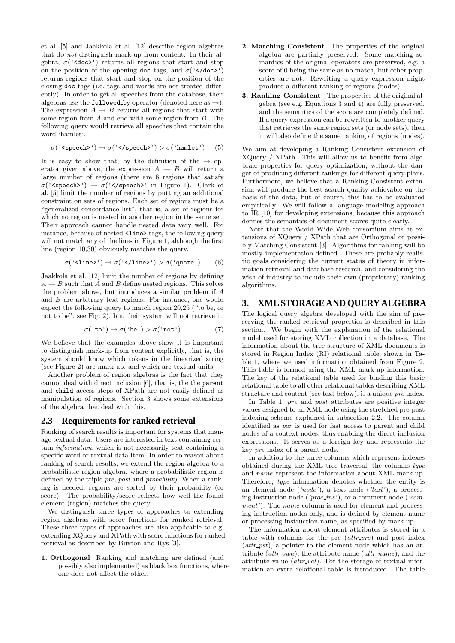et al. [5] and Jaakkola et al. [12] describe region algebras that do not distinguish mark-up from content. In their algebra,  $\sigma$ ('<doc'') returns all regions that start and stop on the position of the opening doc tags, and  $\sigma$  ('</doc') returns regions that start and stop on the position of the closing doc tags (i.e. tags and words are not treated differently). In order to get all speeches from the database, their algebras use the followed by operator (denoted here as  $\rightarrow$ ). The expression  $A \rightarrow B$  returns all regions that start with some region from  $A$  and end with some region from  $B$ . The following query would retrieve all speeches that contain the word 'hamlet'.

$$
\sigma(\text{' (5)
$$

It is easy to show that, by the definition of the  $\rightarrow$  operator given above, the expression  $A \rightarrow B$  will return a large number of regions (there are 6 regions that satisfy  $\sigma$ ('speech')  $\rightarrow \sigma$ ('s/speech'' in Figure 1). Clark et al. [5] limit the number of regions by putting an additional constraint on sets of regions. Each set of regions must be a "generalized concordance list", that is, a set of regions for which no region is nested in another region in the same set. Their approach cannot handle nested data very well. For instance, because of nested <line> tags, the following query will not match any of the lines in Figure 1, although the first line (region 10,30) obviously matches the query.

$$
\sigma(\text{''}) \to \sigma(\text{''}) > \sigma(\text{'quote'}) \qquad (6)
$$

Jaakkola et al. [12] limit the number of regions by defining  $A \rightarrow B$  such that A and B define nested regions. This solves the problem above, but introduces a similar problem if A and B are arbitrary text regions. For instance, one would expect the following query to match region 20,25 ("to be, or not to be", see Fig. 2), but their system will not retrieve it.

$$
\sigma(^{\prime} \text{to'} ) \to \sigma(^{\prime} \text{be'} ) > \sigma(^{\prime} \text{not'} ) \tag{7}
$$

We believe that the examples above show it is important to distinguish mark-up from content explicitly, that is, the system should know which tokens in the linearized string (see Figure 2) are mark-up, and which are textual units.

Another problem of region algebras is the fact that they cannot deal with direct inclusion [6], that is, the the parent and child access steps of XPath are not easily defined as manipulation of regions. Section 3 shows some extensions of the algebra that deal with this.

#### **2.3 Requirements for ranked retrieval**

Ranking of search results is important for systems that manage textual data. Users are interested in text containing certain information, which is not necessarily text containing a specific word or textual data item. In order to reason about ranking of search results, we extend the region algebra to a probabilistic region algebra, where a probabilistic region is defined by the triple pre, post and probability. When a ranking is needed, regions are sorted by their probability (or score). The probability/score reflects how well the found element (region) matches the query.

We distinguish three types of approaches to extending region algebras with score functions for ranked retrieval. These three types of approaches are also applicable to e.g. extending XQuery and XPath with score functions for ranked retrieval as described by Buxton and Rys [3].

1. Orthogonal Ranking and matching are defined (and possibly also implemented) as black box functions, where one does not affect the other.

- 2. Matching Consistent The properties of the original algebra are partially preserved. Some matching semantics of the original operators are preserved, e.g. a score of 0 being the same as no match, but other properties are not. Rewriting a query expression might produce a different ranking of regions (nodes).
- 3. Ranking Consistent The properties of the original algebra (see e.g. Equations 3 and 4) are fully preserved, and the semantics of the score are completely defined. If a query expression can be rewritten to another query that retrieves the same region sets (or node sets), then it will also define the same ranking of regions (nodes).

We aim at developing a Ranking Consistent extension of XQuery / XPath. This will allow us to benefit from algebraic properties for query optimization, without the danger of producing different rankings for different query plans. Furthermore, we believe that a Ranking Consistent extension will produce the best search quality achievable on the basis of the data, but of course, this has to be evaluated empirically. We will follow a language modeling approach to IR [10] for developing extensions, because this approach defines the semantics of document scores quite clearly.

Note that the World Wide Web consortium aims at extensions of XQuery / XPath that are Orthogonal or possibly Matching Consistent [3]. Algorithms for ranking will be mostly implementation-defined. These are probably realistic goals considering the current status of theory in information retrieval and database research, and considering the wish of industry to include their own (proprietary) ranking algorithms.

# **3. XML STORAGE AND QUERY ALGEBRA**

The logical query algebra developed with the aim of preserving the ranked retrieval properties is described in this section. We begin with the explanation of the relational model used for storing XML collection in a database. The information about the tree structure of XML documents is stored in Region Index (RI) relational table, shown in Table 1, where we used information obtained from Figure 2. This table is formed using the XML mark-up information. The key of the relational table used for binding this basic relational table to all other relational tables describing XML structure and content (see text below), is a unique pre index.

In Table 1, pre and post attributes are positive integer values assigned to an XML node using the stretched pre-post indexing scheme explained in subsection 2.2. The column identified as par is used for fast access to parent and child nodes of a context nodes, thus enabling the direct inclusion expressions. It serves as a foreign key and represents the key pre index of a parent node.

In addition to the three columns which represent indexes obtained during the XML tree traversal, the columns type and name represent the information about XML mark-up. Therefore, type information denotes whether the entity is an element node  $('node')$ , a text node  $('text')$ , a processing instruction node ( $'proc-ins'$ ), or a comment node ( $'com$  $ment'$ ). The *name* column is used for element and processing instruction nodes only, and is defined by element name or processing instruction name, as specified by mark-up.

The information about element attributes is stored in a table with columns for the pre  $(attr\_pre)$  and post index  $(attr{\text{-}}pst)$ , a pointer to the element node which has an attribute  $(attr_own)$ , the attribute name  $(attr_name)$ , and the attribute value  $(attr_val)$ . For the storage of textual information an extra relational table is introduced. The table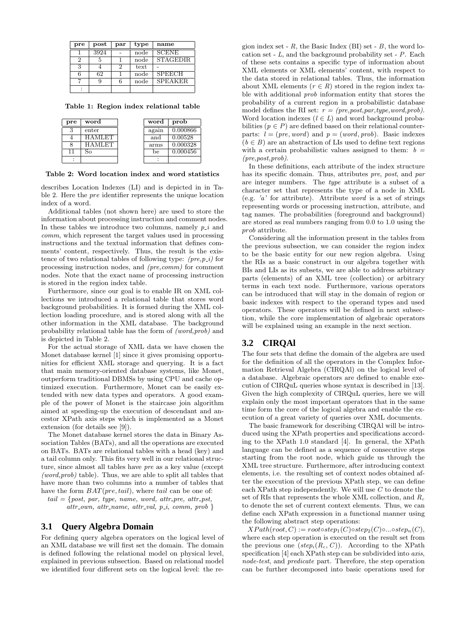| pre | $_{\text{post}}$ | par | type | name            |
|-----|------------------|-----|------|-----------------|
|     | 3924             |     | node | <b>SCENE</b>    |
| 2   |                  |     | node | <b>STAGEDIR</b> |
| 3   |                  |     | text |                 |
|     | 62               |     | node | <b>SPEECH</b>   |
|     |                  |     | node | <b>SPEAKER</b>  |
|     |                  |     |      |                 |

Table 1: Region index relational table

| pre | word      | word  | prob     |
|-----|-----------|-------|----------|
| ∍   | enter     | again | 0.000866 |
|     | 4 A ML ET | and   | 0.00528  |
|     | .H∵       | arms  | 0.000328 |
|     |           | be    | 0.000456 |
|     |           |       |          |

Table 2: Word location index and word statistics

describes Location Indexes (LI) and is depicted in in Table 2. Here the pre identifier represents the unique location index of a word.

Additional tables (not shown here) are used to store the information about processing instruction and comment nodes. In these tables we introduce two columns, namely  $p_i$  and comm, which represent the target values used in processing instructions and the textual information that defines comments' content, respectively. Thus, the result is the existence of two relational tables of following type:  $(pre, p_i)$  for processing instruction nodes, and (pre,comm) for comment nodes. Note that the exact name of processing instruction is stored in the region index table.

Furthermore, since our goal is to enable IR on XML collections we introduced a relational table that stores word background probabilities. It is formed during the XML collection loading procedure, and is stored along with all the other information in the XML database. The background probability relational table has the form of (word,prob) and is depicted in Table 2.

For the actual storage of XML data we have chosen the Monet database kernel [1] since it gives promising opportunities for efficient XML storage and querying. It is a fact that main memory-oriented database systems, like Monet, outperform traditional DBMSs by using CPU and cache optimized execution. Furthermore, Monet can be easily extended with new data types and operators. A good example of the power of Monet is the staircase join algorithm aimed at speeding-up the execution of descendant and ancestor XPath axis steps which is implemented as a Monet extension (for details see [9]).

The Monet database kernel stores the data in Binary Association Tables (BATs), and all the operations are executed on BATs. BATs are relational tables with a head (key) and a tail column only. This fits very well in our relational structure, since almost all tables have pre as a key value (except  $(word,prob)$  table). Thus, we are able to split all tables that have more than two columns into a number of tables that have the form  $BAT(pre, tail)$ , where tail can be one of:

 $tail = \{post, par, type, name, word, attr\_pre, attr\_pst,$ attr\_own, attr\_name, attr\_val,  $p_i$ , comm, prob }

# **3.1 Query Algebra Domain**

For defining query algebra operators on the logical level of an XML database we will first set the domain. The domain is defined following the relational model on physical level, explained in previous subsection. Based on relational model we identified four different sets on the logical level: the re-

gion index set -  $R$ , the Basic Index (BI) set -  $B$ , the word location set -  $L$ , and the background probability set -  $P$ . Each of these sets contains a specific type of information about XML elements or XML elements' content, with respect to the data stored in relational tables. Thus, the information about XML elements  $(r \in R)$  stored in the region index table with additional prob information entity that stores the probability of a current region in a probabilistic database model defines the RI set:  $r = (pre, post, par, type, word, prob).$ Word location indexes  $(l \in L)$  and word background probabilities ( $p \in P$ ) are defined based on their relational counterparts:  $l = (pre, word)$  and  $p = (word, prob)$ . Basic indexes  $(b \in B)$  are an abstraction of LIs used to define text regions with a certain probabilistic values assigned to them:  $b =$ (pre,post,prob).

In these definitions, each attribute of the index structure has its specific domain. Thus, attributes pre, post, and par are integer numbers. The type attribute is a subset of a character set that represents the type of a node in XML (e.g.  $'a'$  for attribute). Attribute *word* is a set of strings representing words or processing instruction, attribute, and tag names. The probabilities (foreground and background) are stored as real numbers ranging from 0.0 to 1.0 using the prob attribute.

Considering all the information present in the tables from the previous subsection, we can consider the region index to be the basic entity for our new region algebra. Using the RIs as a basic construct in our algebra together with BIs and LIs as its subsets, we are able to address arbitrary parts (elements) of an XML tree (collection) or arbitrary terms in each text node. Furthermore, various operators can be introduced that will stay in the domain of region or basic indexes with respect to the operand types and used operators. These operators will be defined in next subsection, while the core implementation of algebraic operators will be explained using an example in the next section.

# **3.2 CIRQAl**

The four sets that define the domain of the algebra are used for the definition of all the operators in the Complex Information Retrieval Algebra (CIRQAl) on the logical level of a database. Algebraic operators are defined to enable execution of CIRQuL queries whose syntax is described in [13]. Given the high complexity of CIRQuL queries, here we will explain only the most important operators that in the same time form the core of the logical algebra and enable the execution of a great variety of queries over XML documents.

The basic framework for describing CIRQAl will be introduced using the XPath properties and specifications according to the XPath 1.0 standard [4]. In general, the XPath language can be defined as a sequence of consecutive steps starting from the root node, which guide us through the XML tree structure. Furthermore, after introducing context elements, i.e. the resulting set of context nodes obtained after the execution of the previous XPath step, we can define each XPath step independently. We will use  $C$  to denote the set of RIs that represents the whole XML collection, and  $R_c$ to denote the set of current context elements. Thus, we can define each XPath expression in a functional manner using the following abstract step operations:

 $XPath(root, C) := root \circ step_1(C) \circ step_2(C) \circ ... \circ step_n(C),$ where each step operation is executed on the result set from the previous one  $(\text{step}_i(R_c, C))$ . According to the XPath specification [4] each XPath step can be subdivided into *axis*, node-test, and predicate part. Therefore, the step operation can be further decomposed into basic operations used for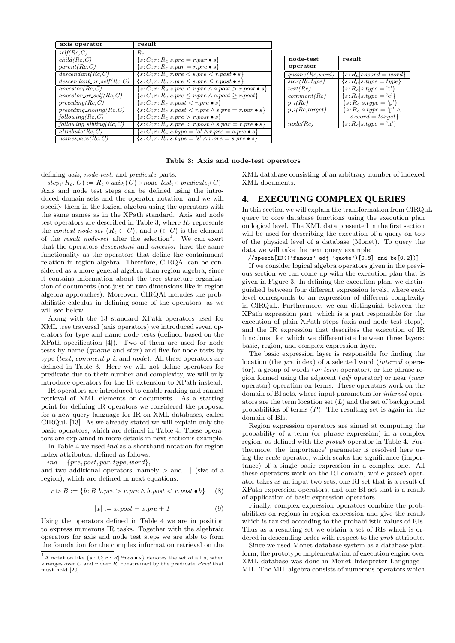| axis operator                     | result                                                                  |
|-----------------------------------|-------------------------------------------------------------------------|
| self(Rc, C)                       | $R_c$                                                                   |
| child(Rc, C)                      | $\{s:C; r: R_c s, pre=r, par \bullet s\}$                               |
| parent(Rc, C)                     | $\{s:C; r:R_c s.parent = r. pre \bullet s\}$                            |
| descendant(Rc, C)                 | $\{s:C; r: R_c   r. pre < s. pre < r. post \bullet s\}$                 |
| $descendant \; or \; self(Rc, C)$ | $\{s:C; r: R_c   r. pre \leq s. pre \leq r. post \bullet s\}$           |
| $\mathit{ancestor}(Rc,C)$         | $\{s:C, r: R_c   s. pre < r. pre \land s. post > r. post \bullet s\}$   |
| ancestor or self( $Rc, C$ )       | $\{s:C; r: R_c   s. pre \leq r. pre \land s. post \geq r. post\}$       |
| $\overline{preceding}(Rc, C)$     | $\{s:C; r: R_c   s. post < r. pre \bullet s\}$                          |
| $preceding\_sibling(Rc, C)$       | $\{s:C; r: R_c s, post < r. pre \land s. pre = r. par \bullet s\}$      |
| following(Rc, C)                  | $\{s:C; r: R_c   s, pre > r, post \bullet s\}$                          |
| $following\_sibling(Rc, C)$       | $\{s:C; r: R_c s, pre > r. post \land s. par = r. pre \bullet s\}$      |
| attribute(Rc, C)                  | $\{s:C; r: R_c  s.type = 'a' \wedge r. pre = s. pre \bullet s\}$        |
| namespace(Rc, C)                  | $\{s:C; r:R_c s_type = \overline{\S'} \wedge r-pre = s-pre \bullet s\}$ |

| node-test           | result                               |
|---------------------|--------------------------------------|
| operator            |                                      |
| qname(Rc, word)     | $\{s:R_c s.word=word\}$              |
| star(Rc, type)      | $\{s:R_c s_type = \overline{type}\}$ |
| text(Re)            | $\{s:R_c s.type = 't'\}$             |
| comment(Rc)         | $\{s:R_c s.type=\overline{c'}\}$     |
| $p_i(Rc)$           | $\{s:R_c s.type = 'p'\}$             |
| $p \ i(Rc, target)$ | $\{s:R_c s.type=\text{'}p\}\wedge$   |
|                     | $s. word = target\}$                 |
| node(Rc)            | $\{s:R_c s.type=\overline{\ }n'\}$   |

Table 3: Axis and node-test operators

defining axis, node-test, and predicate parts:

 $step_i(R_c, C) := R_c \circ axis_i(C) \circ node\_test_i \circ predicate_i(C)$ Axis and node test steps can be defined using the introduced domain sets and the operator notation, and we will specify them in the logical algebra using the operators with the same names as in the XPath standard. Axis and node test operators are described in Table 3, where  $R_c$  represents the *context node-set*  $(R_c \subset C)$ , and  $s \in C$  is the element of the *result node-set* after the selection<sup>1</sup>. We can exert that the operators descendant and ancestor have the same functionality as the operators that define the containment relation in region algebra. Therefore, CIRQAl can be considered as a more general algebra than region algebra, since it contains information about the tree structure organization of documents (not just on two dimensions like in region algebra approaches). Moreover, CIRQAl includes the probabilistic calculus in defining some of the operators, as we will see below.

Along with the 13 standard XPath operators used for XML tree traversal (axis operators) we introduced seven operators for type and name node tests (defined based on the XPath specification [4]). Two of them are used for node tests by name (qname and star) and five for node tests by type (text, comment  $p_i$ , and node). All these operators are defined in Table 3. Here we will not define operators for predicate due to their number and complexity, we will only introduce operators for the IR extension to XPath instead.

IR operators are introduced to enable ranking and ranked retrieval of XML elements or documents. As a starting point for defining IR operators we considered the proposal for a new query language for IR on XML databases, called CIRQuL [13]. As we already stated we will explain only the basic operators, which are defined in Table 4. These operators are explained in more details in next section's example.

In Table 4 we used ind as a shorthand notation for region index attributes, defined as follows:

 $ind = \{pre, post, par, type, word\},\$ 

and two additional operators, namely  $\triangleright$  and  $\vert \cdot \vert$  (size of a region), which are defined in next equations:

$$
r \triangleright B := \{b : B | b.\text{pre} > r.\text{pre} \land b.\text{post} < r.\text{post} \bullet b\} \tag{8}
$$

$$
|x| := x. post - x. pre + 1 \tag{9}
$$

Using the operators defined in Table 4 we are in position to express numerous IR tasks. Together with the algebraic operators for axis and node test steps we are able to form the foundation for the complex information retrieval on the

XML database consisting of an arbitrary number of indexed XML documents.

# **4. EXECUTING COMPLEX QUERIES**

In this section we will explain the transformation from CIRQuL query to core database functions using the execution plan on logical level. The XML data presented in the first section will be used for describing the execution of a query on top of the physical level of a database (Monet). To query the data we will take the next query example:

//speech[IR(('famous' adj 'quote')[0.8] and be[0.2])]

If we consider logical algebra operators given in the previous section we can come up with the execution plan that is given in Figure 3. In defining the execution plan, we distinguished between four different expression levels, where each level corresponds to an expression of different complexity in CIRQuL. Furthermore, we can distinguish between the XPath expression part, which is a part responsible for the execution of plain XPath steps (axis and node test steps), and the IR expression that describes the execution of IR functions, for which we differentiate between three layers: basic, region, and complex expression layer.

The basic expression layer is responsible for finding the location (the *pre* index) of a selected word *(interval* operator), a group of words (*or term* operator), or the phrase region formed using the adjacent (adj operator) or near (near operator) operation on terms. These operators work on the domain of BI sets, where input parameters for interval operators are the term location set  $(L)$  and the set of background probabilities of terms  $(P)$ . The resulting set is again in the domain of BIs.

Region expression operators are aimed at computing the probability of a term (or phrase expression) in a complex region, as defined with the probab operator in Table 4. Furthermore, the 'importance' parameter is resolved here using the scale operator, which scales the significance (importance) of a single basic expression in a complex one. All these operators work on the RI domain, while probab operator takes as an input two sets, one RI set that is a result of XPath expression operators, and one BI set that is a result of application of basic expression operators.

Finally, complex expression operators combine the probabilities on regions in region expression and give the result which is ranked according to the probabilistic values of RIs. Thus as a resulting set we obtain a set of RIs which is ordered in descending order with respect to the *prob* attribute.

Since we used Monet database system as a database platform, the prototype implementation of execution engine over XML database was done in Monet Interpreter Language - MIL. The MIL algebra consists of numerous operators which

<sup>&</sup>lt;sup>1</sup>A notation like  $\{s : C; r : R | Pred \bullet s\}$  denotes the set of all s, when s ranges over C and r over  $R$ , constrained by the predicate  $Pred$  that must hold [20].